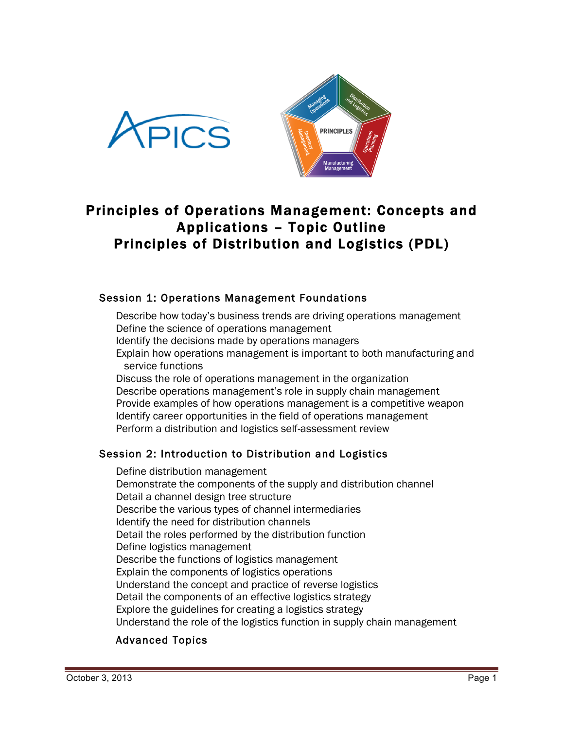



# Principles of Operations Management: Concepts and Applications – Topic Outline Principles of Distribution and Logistics (PDL)

# Session 1: Operations Management Foundations

Describe how today's business trends are driving operations management Define the science of operations management Identify the decisions made by operations managers Explain how operations management is important to both manufacturing and service functions Discuss the role of operations management in the organization Describe operations management's role in supply chain management Provide examples of how operations management is a competitive weapon Identify career opportunities in the field of operations management Perform a distribution and logistics self-assessment review

# Session 2: Introduction to Distribution and Logistics

Define distribution management Demonstrate the components of the supply and distribution channel Detail a channel design tree structure Describe the various types of channel intermediaries Identify the need for distribution channels Detail the roles performed by the distribution function Define logistics management Describe the functions of logistics management Explain the components of logistics operations Understand the concept and practice of reverse logistics Detail the components of an effective logistics strategy Explore the guidelines for creating a logistics strategy Understand the role of the logistics function in supply chain management

# Advanced Topics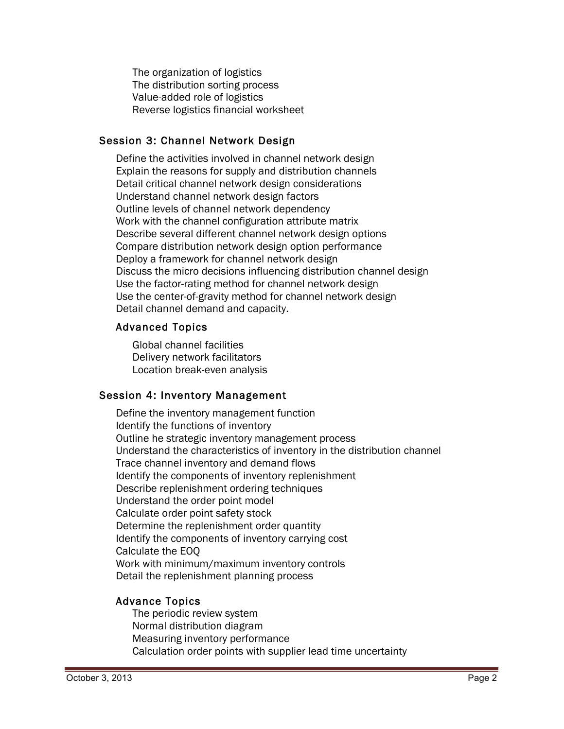The organization of logistics The distribution sorting process Value-added role of logistics Reverse logistics financial worksheet

# Session 3: Channel Network Design

Define the activities involved in channel network design Explain the reasons for supply and distribution channels Detail critical channel network design considerations Understand channel network design factors Outline levels of channel network dependency Work with the channel configuration attribute matrix Describe several different channel network design options Compare distribution network design option performance Deploy a framework for channel network design Discuss the micro decisions influencing distribution channel design Use the factor-rating method for channel network design Use the center-of-gravity method for channel network design Detail channel demand and capacity.

# Advanced Topics

Global channel facilities Delivery network facilitators Location break-even analysis

# Session 4: Inventory Management

Define the inventory management function Identify the functions of inventory Outline he strategic inventory management process Understand the characteristics of inventory in the distribution channel Trace channel inventory and demand flows Identify the components of inventory replenishment Describe replenishment ordering techniques Understand the order point model Calculate order point safety stock Determine the replenishment order quantity Identify the components of inventory carrying cost Calculate the EOQ Work with minimum/maximum inventory controls Detail the replenishment planning process

# Advance Topics

The periodic review system Normal distribution diagram Measuring inventory performance Calculation order points with supplier lead time uncertainty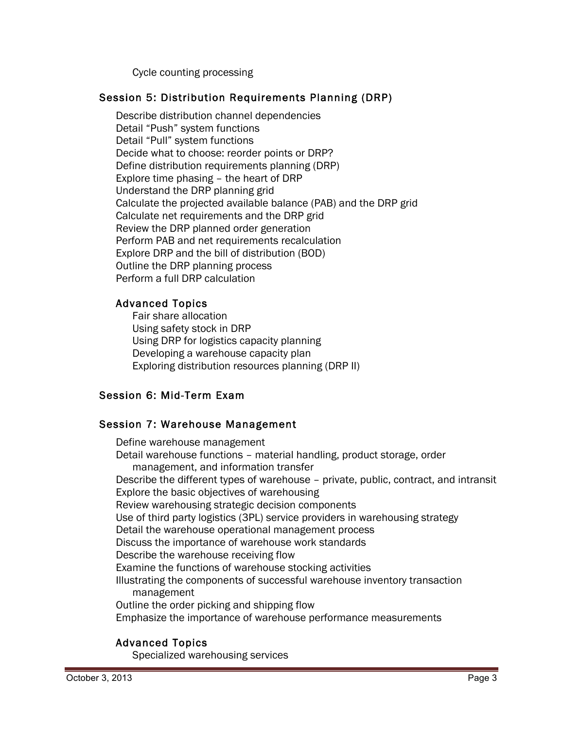Cycle counting processing

## Session 5: Distribution Requirements Planning (DRP)

Describe distribution channel dependencies Detail "Push" system functions Detail "Pull" system functions Decide what to choose: reorder points or DRP? Define distribution requirements planning (DRP) Explore time phasing – the heart of DRP Understand the DRP planning grid Calculate the projected available balance (PAB) and the DRP grid Calculate net requirements and the DRP grid Review the DRP planned order generation Perform PAB and net requirements recalculation Explore DRP and the bill of distribution (BOD) Outline the DRP planning process Perform a full DRP calculation

## Advanced Topics

Fair share allocation Using safety stock in DRP Using DRP for logistics capacity planning Developing a warehouse capacity plan Exploring distribution resources planning (DRP II)

#### Session 6: Mid-Term Exam

#### Session 7: Warehouse Management

Define warehouse management Detail warehouse functions – material handling, product storage, order management, and information transfer Describe the different types of warehouse – private, public, contract, and intransit Explore the basic objectives of warehousing Review warehousing strategic decision components Use of third party logistics (3PL) service providers in warehousing strategy Detail the warehouse operational management process Discuss the importance of warehouse work standards Describe the warehouse receiving flow Examine the functions of warehouse stocking activities Illustrating the components of successful warehouse inventory transaction management Outline the order picking and shipping flow Emphasize the importance of warehouse performance measurements

#### Advanced Topics

Specialized warehousing services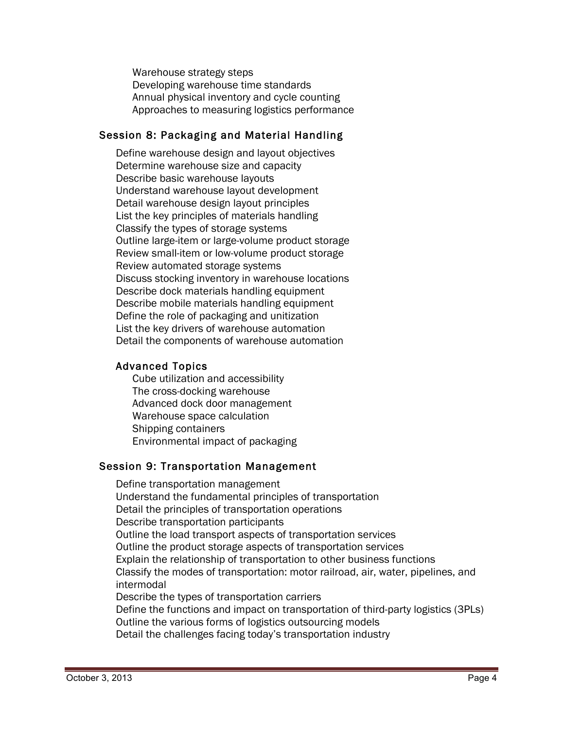Warehouse strategy steps Developing warehouse time standards Annual physical inventory and cycle counting Approaches to measuring logistics performance

## Session 8: Packaging and Material Handling

Define warehouse design and layout objectives Determine warehouse size and capacity Describe basic warehouse layouts Understand warehouse layout development Detail warehouse design layout principles List the key principles of materials handling Classify the types of storage systems Outline large-item or large-volume product storage Review small-item or low-volume product storage Review automated storage systems Discuss stocking inventory in warehouse locations Describe dock materials handling equipment Describe mobile materials handling equipment Define the role of packaging and unitization List the key drivers of warehouse automation Detail the components of warehouse automation

#### Advanced Topics

Cube utilization and accessibility The cross-docking warehouse Advanced dock door management Warehouse space calculation Shipping containers Environmental impact of packaging

#### Session 9: Transportation Management

Define transportation management Understand the fundamental principles of transportation Detail the principles of transportation operations Describe transportation participants Outline the load transport aspects of transportation services Outline the product storage aspects of transportation services Explain the relationship of transportation to other business functions Classify the modes of transportation: motor railroad, air, water, pipelines, and intermodal Describe the types of transportation carriers Define the functions and impact on transportation of third-party logistics (3PLs) Outline the various forms of logistics outsourcing models Detail the challenges facing today's transportation industry